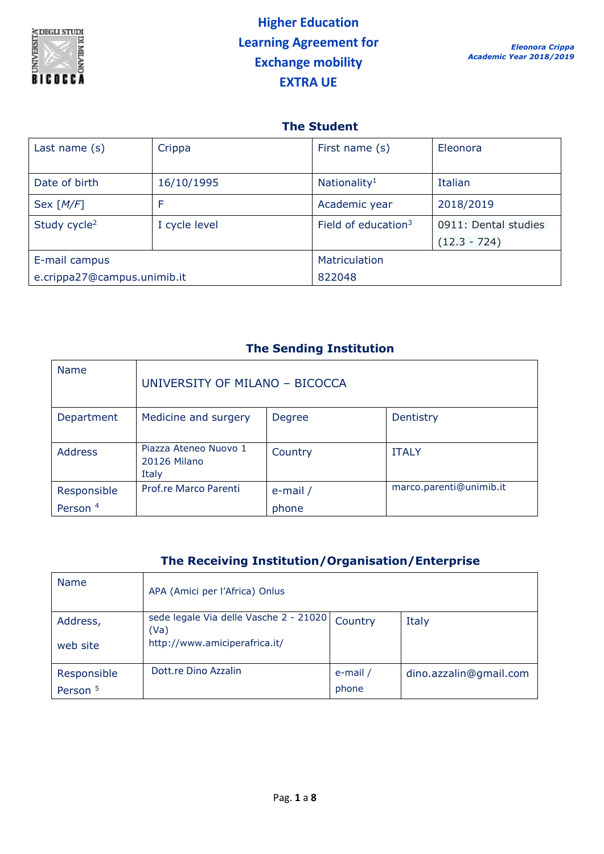

# **Higher Education Learning Agreement for Exchange mobility EXTRA UE**

## **The Student**

| Last name (s)               | Crippa        | First name (s)           | Eleonora                               |  |
|-----------------------------|---------------|--------------------------|----------------------------------------|--|
| Date of birth               | 16/10/1995    | Nationality <sup>1</sup> | Italian                                |  |
| Sex $[M/F]$                 | F             | Academic year            | 2018/2019                              |  |
| Study cycle <sup>2</sup>    | I cycle level | Field of education $3$   | 0911: Dental studies<br>$(12.3 - 724)$ |  |
| E-mail campus               |               | Matriculation            |                                        |  |
| e.crippa27@campus.unimib.it |               | 822048                   |                                        |  |

## **The Sending Institution**

| <b>Name</b>         | UNIVERSITY OF MILANO - BICOCCA                 |             |                         |
|---------------------|------------------------------------------------|-------------|-------------------------|
| Department          | Medicine and surgery                           | Degree      | Dentistry               |
| <b>Address</b>      | Piazza Ateneo Nuovo 1<br>20126 Milano<br>Italy | Country     | <b>ITALY</b>            |
| Responsible         | Prof.re Marco Parenti                          | $e$ -mail / | marco.parenti@unimib.it |
| Person <sup>4</sup> |                                                | phone       |                         |

# **The Receiving Institution/Organisation/Enterprise**

| <b>Name</b>         | APA (Amici per l'Africa) Onlus                 |          |                        |
|---------------------|------------------------------------------------|----------|------------------------|
| Address,            | sede legale Via delle Vasche 2 - 21020<br>(Va) | Country  | Italy                  |
| web site            | http://www.amiciperafrica.it/                  |          |                        |
| Responsible         | Dott.re Dino Azzalin                           | e-mail / | dino.azzalin@gmail.com |
| Person <sup>5</sup> |                                                | phone    |                        |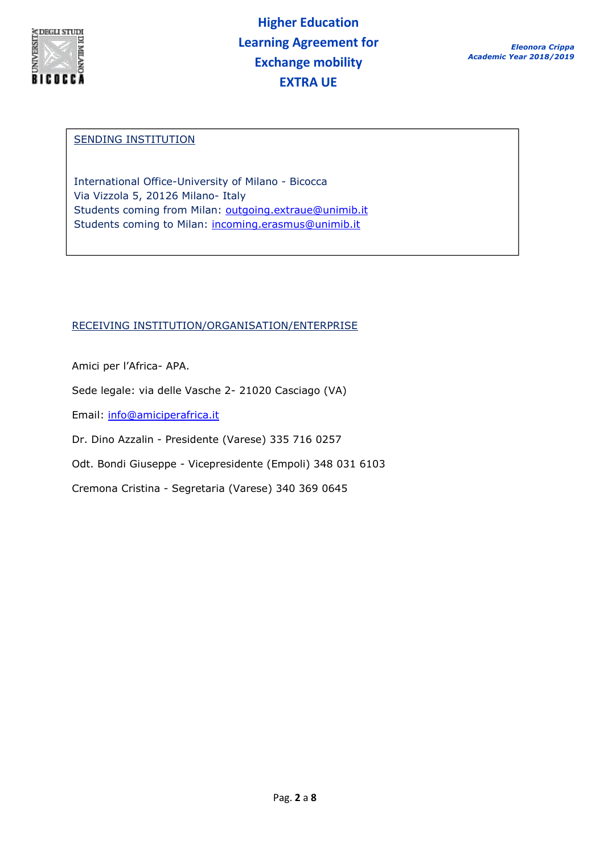

#### SENDING INSTITUTION

International Office-University of Milano - Bicocca Via Vizzola 5, 20126 Milano- Italy Students coming from Milan: [outgoing.extraue@unimib.it](mailto:outgoing.extraue@unimib.it) Students coming to Milan: [incoming.erasmus@unimib.it](mailto:incoming.erasmus@unimib.it)

#### RECEIVING INSTITUTION/ORGANISATION/ENTERPRISE

Amici per l'Africa- APA.

Sede legale: via delle Vasche 2- 21020 Casciago (VA)

Email: [info@amiciperafrica.it](mailto:info@amiciperafrica.it)

Dr. Dino Azzalin - Presidente (Varese) 335 716 0257

Odt. Bondi Giuseppe - Vicepresidente (Empoli) 348 031 6103

Cremona Cristina - Segretaria (Varese) 340 369 0645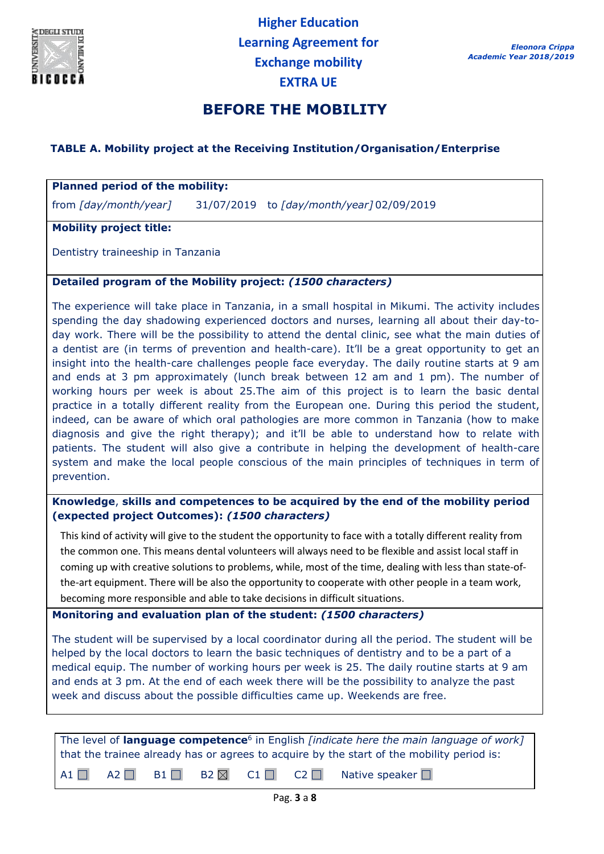

# **BEFORE THE MOBILITY**

### **TABLE A. Mobility project at the Receiving Institution/Organisation/Enterprise**

#### **Planned period of the mobility:**

from *[day/month/year]* 31/07/2019 to *[day/month/year]* 02/09/2019

#### **Mobility project title:**

Dentistry traineeship in Tanzania

#### **Detailed program of the Mobility project:***(1500 characters)*

The experience will take place in Tanzania, in a small hospital in Mikumi. The activity includes spending the day shadowing experienced doctors and nurses, learning all about their day-to day work. There will be the possibility to attend the dental clinic, see what the main duties of a dentist are (in terms of prevention and health-care). It'll be a great opportunity to get an insight into the health-care challenges people face everyday. The daily routine starts at 9 am and ends at 3 pm approximately (lunch break between 12 am and 1 pm). The number of working hours per week is about 25.The aim of this project is to learn the basic dental practice in a totally different reality from the European one. During this period the student, indeed, can be aware of which oral pathologies are more common in Tanzania (how to make diagnosis and give the right therapy); and it'll be able to understand how to relate with patients. The student will also give a contribute in helping the development of health-care system and make the local people conscious of the main principles of techniques in term of prevention.

#### **Knowledge**, **skills and competences to be acquired by the end of the mobility period (expected project Outcomes):** *(1500 characters)*

This kind of activity will give to the student the opportunity to face with a totally different reality from the common one. This means dental volunteers will always need to be flexible and assist local staff in coming up with creative solutions to problems, while, most of the time, dealing with less than state-of the-art equipment. There will be also the opportunity to cooperate with other people in a team work, becoming more responsible and able to take decisions in difficult situations.

**Monitoring and evaluation plan of the student:** *(1500 characters)*

The student will be supervised by a local coordinator during all the period. The student will be helped by the local doctors to learn the basic techniques of dentistry and to be a part of a medical equip. The number of working hours per week is 25. The daily routine starts at 9 am and ends at 3 pm. At the end of each week there will be the possibility to analyze the past week and discuss about the possible difficulties came up. Weekends are free.

| The level of language competence <sup>6</sup> in English <i>[indicate here the main language of work]</i> |  |  |  |  |  |                                                                                        |
|-----------------------------------------------------------------------------------------------------------|--|--|--|--|--|----------------------------------------------------------------------------------------|
| that the trainee already has or agrees to acquire by the start of the mobility period is:                 |  |  |  |  |  |                                                                                        |
|                                                                                                           |  |  |  |  |  | $A1 \Box$ $A2 \Box$ $B1 \Box$ $B2 \boxtimes$ $C1 \Box$ $C2 \Box$ Native speaker $\Box$ |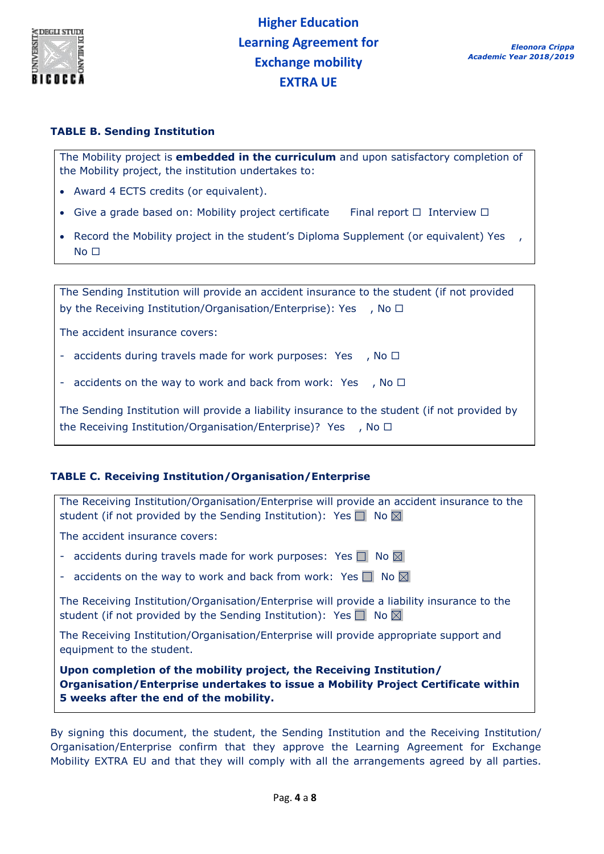

#### **TABLE B. Sending Institution**

The Mobility project is **embedded in the curriculum** and upon satisfactory completion of the Mobility project, the institution undertakes to:

- Award 4 ECTS credits (or equivalent).
- Give a grade based on: Mobility project certificate Final report  $\Box$  Interview  $\Box$
- Record the Mobility project in the student's Diploma Supplement (or equivalent) Yes  $No<sub>1</sub>$

The Sending Institution will provide an accident insurance to the student (if not provided by the Receiving Institution/Organisation/Enterprise): Yes , No □

The accident insurance covers:

- accidents during travels made for work purposes: Yes , No  $\Box$
- accidents on the way to work and back from work: Yes , No  $\Box$

The Sending Institution will provide a liability insurance to the student (if not provided by the Receiving Institution/Organisation/Enterprise)? Yes , No □

#### **TABLE C. Receiving Institution/Organisation/Enterprise**

| The Receiving Institution/Organisation/Enterprise will provide an accident insurance to the<br>student (if not provided by the Sending Institution): Yes $\Box$ No $\boxtimes$                     |
|----------------------------------------------------------------------------------------------------------------------------------------------------------------------------------------------------|
| The accident insurance covers:                                                                                                                                                                     |
| - accidents during travels made for work purposes: Yes $\Box$ No $\boxtimes$                                                                                                                       |
| - accidents on the way to work and back from work: Yes $\Box$ No $\boxtimes$                                                                                                                       |
| The Receiving Institution/Organisation/Enterprise will provide a liability insurance to the<br>student (if not provided by the Sending Institution): Yes $\Box$ No $\boxtimes$                     |
| The Receiving Institution/Organisation/Enterprise will provide appropriate support and<br>equipment to the student.                                                                                |
| Upon completion of the mobility project, the Receiving Institution/<br>Organisation/Enterprise undertakes to issue a Mobility Project Certificate within<br>5 weeks after the end of the mobility. |

By signing this document, the student, the Sending Institution and the Receiving Institution/ Organisation/Enterprise confirm that they approve the Learning Agreement for Exchange Mobility EXTRA EU and that they will comply with all the arrangements agreed by all parties.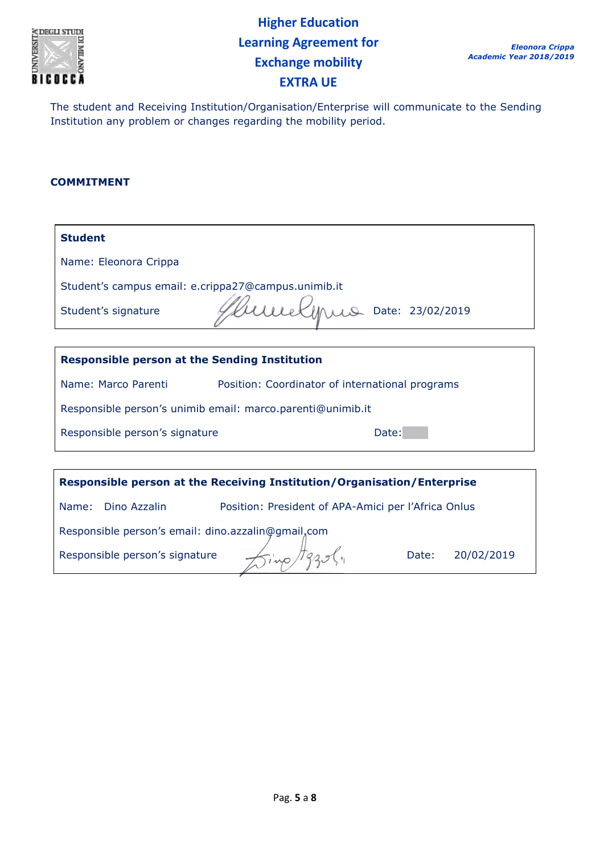

# **Higher Education Learning Agreement for Exchange mobility EXTRA UE**

The student and Receiving Institution/Organisation/Enterprise will communicate to the Sending Institution any problem or changes regarding the mobility period.

#### **COMMITMENT**

| <b>Student</b>                                                          |                                                     |  |  |
|-------------------------------------------------------------------------|-----------------------------------------------------|--|--|
| Name: Eleonora Crippa                                                   |                                                     |  |  |
|                                                                         | Student's campus email: e.crippa27@campus.unimib.it |  |  |
| Student's signature                                                     | L.S. Date: 23/02/2019                               |  |  |
|                                                                         |                                                     |  |  |
| <b>Responsible person at the Sending Institution</b>                    |                                                     |  |  |
| Name: Marco Parenti                                                     | Position: Coordinator of international programs     |  |  |
| Responsible person's unimib email: marco.parenti@unimib.it              |                                                     |  |  |
| Responsible person's signature                                          | Date:                                               |  |  |
|                                                                         |                                                     |  |  |
| Responsible person at the Receiving Institution/Organisation/Enterprise |                                                     |  |  |
| Dino Azzalin<br>Name:                                                   | Position: President of APA-Amici per l'Africa Onlus |  |  |

Responsible person's email: dino.azzalin@gmail.com

| Responsible person's signature | Lino Bzol. | Date: 20/02/2019 |
|--------------------------------|------------|------------------|
|                                |            |                  |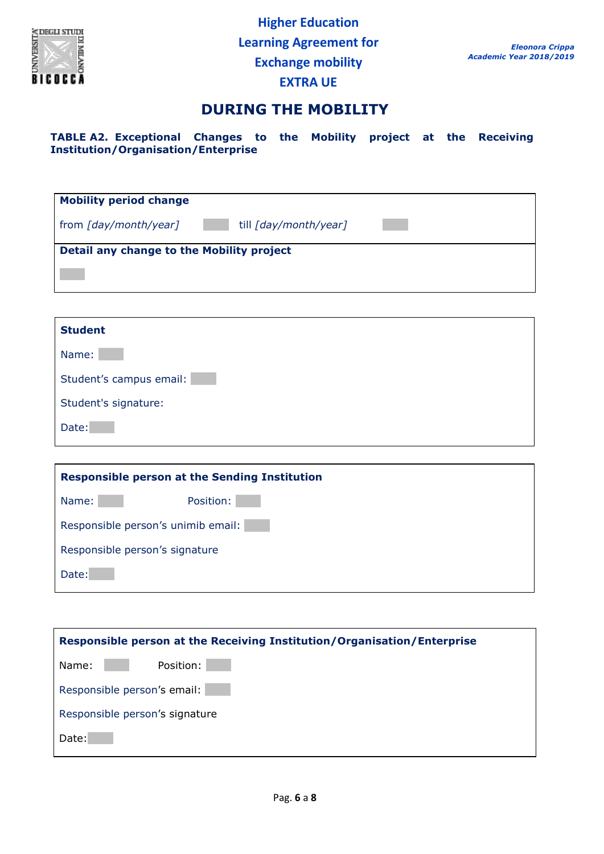

# **DURING THE MOBILITY**

**TABLE A2. Exceptional Changes to the Mobility project at the Receiving Institution/Organisation/Enterprise**

**Mobility period change**

from *[day/month/year]* till *[day/month/year]*

**Detail any change to the Mobility project**

| <b>Student</b>          |
|-------------------------|
| Name:                   |
| Student's campus email: |
| Student's signature:    |
| Date:                   |

| <b>Responsible person at the Sending Institution</b> |  |  |  |
|------------------------------------------------------|--|--|--|
| Name:<br>Position:                                   |  |  |  |
| Responsible person's unimib email:                   |  |  |  |
| Responsible person's signature                       |  |  |  |
| Date:                                                |  |  |  |

| Responsible person at the Receiving Institution/Organisation/Enterprise |  |  |
|-------------------------------------------------------------------------|--|--|
| Position:<br>Name:                                                      |  |  |
| Responsible person's email:                                             |  |  |
| Responsible person's signature                                          |  |  |
| Date:                                                                   |  |  |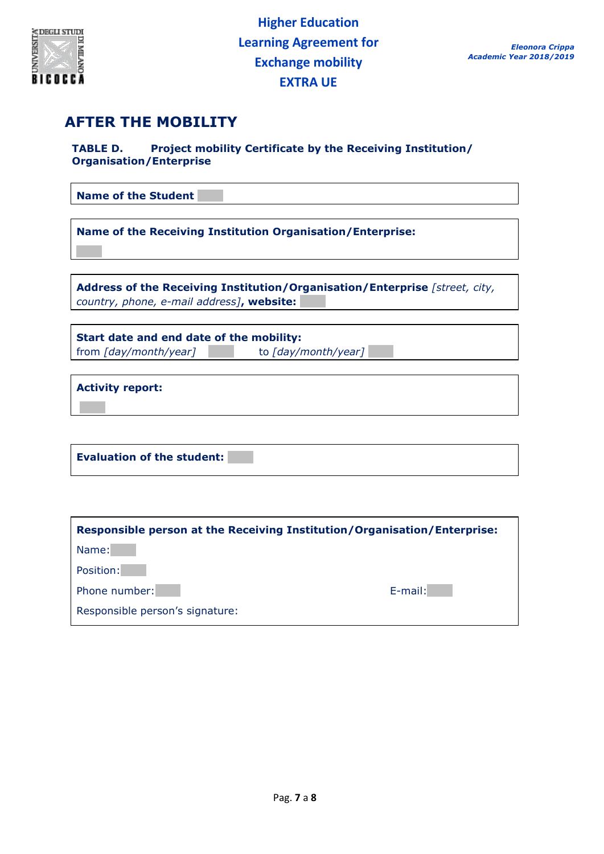

# **AFTER THE MOBILITY**

**TABLE D. Project mobility Certificate by the Receiving Institution/ Organisation/Enterprise**

**Name of the Student**

**Name of the Receiving Institution Organisation/Enterprise:**

**Address of the Receiving Institution/Organisation/Enterprise** *[street, city, country, phone, e-mail address]***, website:**

**Start date and end date of the mobility:** from *[day/month/year]* to *[day/month/year]*

**Activity report:**

**Evaluation of the student:**

| Responsible person at the Receiving Institution/Organisation/Enterprise: |         |  |
|--------------------------------------------------------------------------|---------|--|
| Name:                                                                    |         |  |
| Position:                                                                |         |  |
| Phone number:                                                            | E-mail: |  |
| Responsible person's signature:                                          |         |  |